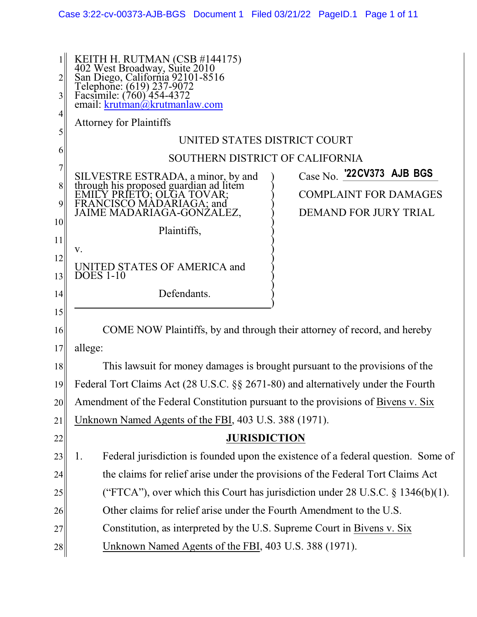| $\mathbf 1$<br>2<br>3 | KEITH H. RUTMAN (CSB #144175)<br>402 West Broadway, Suite 2010<br>San Diego, California 92101-8516<br>Telephone: (619) 237-9072<br>Facsimile: (760) 454-4372<br>email: <u>krutman@krutmanlaw.com</u> |  |  |  |  |
|-----------------------|------------------------------------------------------------------------------------------------------------------------------------------------------------------------------------------------------|--|--|--|--|
| 4                     | <b>Attorney for Plaintiffs</b>                                                                                                                                                                       |  |  |  |  |
| 5                     | UNITED STATES DISTRICT COURT                                                                                                                                                                         |  |  |  |  |
| 6                     | SOUTHERN DISTRICT OF CALIFORNIA                                                                                                                                                                      |  |  |  |  |
| 7                     | Case No. '22CV373 AJB BGS<br>SILVESTRE ESTRADA, a minor, by and<br>through his proposed guardian ad litem                                                                                            |  |  |  |  |
| 8                     | <b>COMPLAINT FOR DAMAGES</b><br>Y PRIETO: OLGA TOVAR:                                                                                                                                                |  |  |  |  |
| 9                     | FRANCISCO MADARIAGA; and<br>JAIME MADARIAGA-GONZALEZ,<br><b>DEMAND FOR JURY TRIAL</b>                                                                                                                |  |  |  |  |
| 10                    | Plaintiffs,                                                                                                                                                                                          |  |  |  |  |
| 11                    | V.                                                                                                                                                                                                   |  |  |  |  |
| 12<br>13              | UNITED STATES OF AMERICA and<br><b>DOES 1-10</b>                                                                                                                                                     |  |  |  |  |
| 14                    | Defendants.                                                                                                                                                                                          |  |  |  |  |
| 15                    |                                                                                                                                                                                                      |  |  |  |  |
| 16                    | COME NOW Plaintiffs, by and through their attorney of record, and hereby                                                                                                                             |  |  |  |  |
| 17                    | allege:                                                                                                                                                                                              |  |  |  |  |
| 18                    | This lawsuit for money damages is brought pursuant to the provisions of the                                                                                                                          |  |  |  |  |
| 19                    | Federal Tort Claims Act (28 U.S.C. §§ 2671-80) and alternatively under the Fourth                                                                                                                    |  |  |  |  |
| 20                    | Amendment of the Federal Constitution pursuant to the provisions of Bivens v. Six                                                                                                                    |  |  |  |  |
| 21                    | Unknown Named Agents of the FBI, 403 U.S. 388 (1971).                                                                                                                                                |  |  |  |  |
| 22                    | <b>JURISDICTION</b>                                                                                                                                                                                  |  |  |  |  |
| 23                    | Federal jurisdiction is founded upon the existence of a federal question. Some of<br>1.                                                                                                              |  |  |  |  |
| 24                    | the claims for relief arise under the provisions of the Federal Tort Claims Act                                                                                                                      |  |  |  |  |
| 25                    | ("FTCA"), over which this Court has jurisdiction under 28 U.S.C. $\S$ 1346(b)(1).                                                                                                                    |  |  |  |  |
| 26                    | Other claims for relief arise under the Fourth Amendment to the U.S.                                                                                                                                 |  |  |  |  |
| 27                    | Constitution, as interpreted by the U.S. Supreme Court in Bivens v. Six                                                                                                                              |  |  |  |  |
| 28                    | Unknown Named Agents of the FBI, 403 U.S. 388 (1971).                                                                                                                                                |  |  |  |  |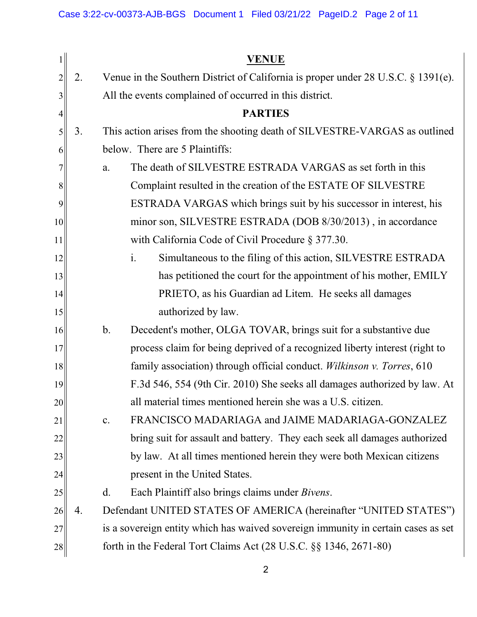| 1              |                                                                                   |                                | <b>VENUE</b>                                                                      |
|----------------|-----------------------------------------------------------------------------------|--------------------------------|-----------------------------------------------------------------------------------|
| $\overline{2}$ | 2.                                                                                |                                | Venue in the Southern District of California is proper under 28 U.S.C. § 1391(e). |
| 3              | All the events complained of occurred in this district.                           |                                |                                                                                   |
| 4              |                                                                                   |                                | <b>PARTIES</b>                                                                    |
| 5              | 3.                                                                                |                                | This action arises from the shooting death of SILVESTRE-VARGAS as outlined        |
| 6              |                                                                                   | below. There are 5 Plaintiffs: |                                                                                   |
| 7              |                                                                                   | a.                             | The death of SILVESTRE ESTRADA VARGAS as set forth in this                        |
| 8              |                                                                                   |                                | Complaint resulted in the creation of the ESTATE OF SILVESTRE                     |
| 9              |                                                                                   |                                | ESTRADA VARGAS which brings suit by his successor in interest, his                |
| 10             | minor son, SILVESTRE ESTRADA (DOB 8/30/2013), in accordance                       |                                |                                                                                   |
| 11             |                                                                                   |                                | with California Code of Civil Procedure § 377.30.                                 |
| 12             |                                                                                   |                                | Simultaneous to the filing of this action, SILVESTRE ESTRADA<br>$\mathbf{i}$ .    |
| 13             |                                                                                   |                                | has petitioned the court for the appointment of his mother, EMILY                 |
| 14             | PRIETO, as his Guardian ad Litem. He seeks all damages                            |                                |                                                                                   |
| 15             | authorized by law.                                                                |                                |                                                                                   |
| 16             |                                                                                   | $b$ .                          | Decedent's mother, OLGA TOVAR, brings suit for a substantive due                  |
| 17             |                                                                                   |                                | process claim for being deprived of a recognized liberty interest (right to       |
| 18             |                                                                                   |                                | family association) through official conduct. Wilkinson v. Torres, 610            |
| 19             |                                                                                   |                                | F.3d 546, 554 (9th Cir. 2010) She seeks all damages authorized by law. At         |
| 20             |                                                                                   |                                | all material times mentioned herein she was a U.S. citizen.                       |
| 21             |                                                                                   | c.                             | FRANCISCO MADARIAGA and JAIME MADARIAGA-GONZALEZ                                  |
| 22             |                                                                                   |                                | bring suit for assault and battery. They each seek all damages authorized         |
| 23             |                                                                                   |                                | by law. At all times mentioned herein they were both Mexican citizens             |
| 24             |                                                                                   |                                | present in the United States.                                                     |
| 25             |                                                                                   | $\rm d$ .                      | Each Plaintiff also brings claims under <i>Bivens</i> .                           |
| 26             | 4.                                                                                |                                | Defendant UNITED STATES OF AMERICA (hereinafter "UNITED STATES")                  |
| 27             | is a sovereign entity which has waived sovereign immunity in certain cases as set |                                |                                                                                   |
| 28             | forth in the Federal Tort Claims Act $(28 \text{ U.S.C.} \S \S 1346, 2671-80)$    |                                |                                                                                   |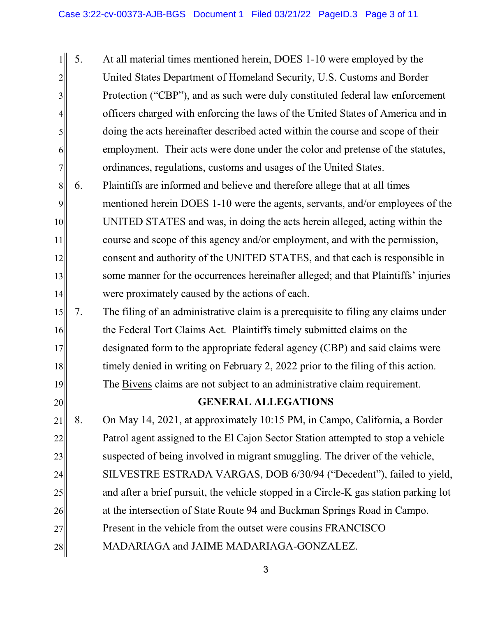1 2 3 4 5 6 7 5. At all material times mentioned herein, DOES 1-10 were employed by the United States Department of Homeland Security, U.S. Customs and Border Protection ("CBP"), and as such were duly constituted federal law enforcement officers charged with enforcing the laws of the United States of America and in doing the acts hereinafter described acted within the course and scope of their employment. Their acts were done under the color and pretense of the statutes, ordinances, regulations, customs and usages of the United States.

8 9 10 11 12 13 14 6. Plaintiffs are informed and believe and therefore allege that at all times mentioned herein DOES 1-10 were the agents, servants, and/or employees of the UNITED STATES and was, in doing the acts herein alleged, acting within the course and scope of this agency and/or employment, and with the permission, consent and authority of the UNITED STATES, and that each is responsible in some manner for the occurrences hereinafter alleged; and that Plaintiffs' injuries were proximately caused by the actions of each.

15 16 17 18 19 7. The filing of an administrative claim is a prerequisite to filing any claims under the Federal Tort Claims Act. Plaintiffs timely submitted claims on the designated form to the appropriate federal agency (CBP) and said claims were timely denied in writing on February 2, 2022 prior to the filing of this action. The Bivens claims are not subject to an administrative claim requirement.

## **GENERAL ALLEGATIONS**

20

21 22 23 24 25 26 27 28 8. On May 14, 2021, at approximately 10:15 PM, in Campo, California, a Border Patrol agent assigned to the El Cajon Sector Station attempted to stop a vehicle suspected of being involved in migrant smuggling. The driver of the vehicle, SILVESTRE ESTRADA VARGAS, DOB 6/30/94 ("Decedent"), failed to yield, and after a brief pursuit, the vehicle stopped in a Circle-K gas station parking lot at the intersection of State Route 94 and Buckman Springs Road in Campo. Present in the vehicle from the outset were cousins FRANCISCO MADARIAGA and JAIME MADARIAGA-GONZALEZ.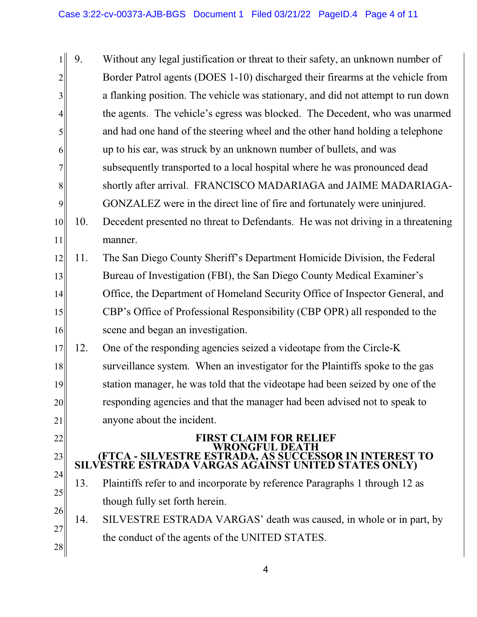|                | 9.  | Without any legal justification or threat to their safety, an unknown number of                                |
|----------------|-----|----------------------------------------------------------------------------------------------------------------|
| $\overline{2}$ |     | Border Patrol agents (DOES 1-10) discharged their firearms at the vehicle from                                 |
| $\overline{3}$ |     | a flanking position. The vehicle was stationary, and did not attempt to run down                               |
| 4              |     | the agents. The vehicle's egress was blocked. The Decedent, who was unarmed                                    |
| 5              |     | and had one hand of the steering wheel and the other hand holding a telephone                                  |
| 6              |     | up to his ear, was struck by an unknown number of bullets, and was                                             |
| 7              |     | subsequently transported to a local hospital where he was pronounced dead                                      |
| $8\,$          |     | shortly after arrival. FRANCISCO MADARIAGA and JAIME MADARIAGA-                                                |
| 9              |     | GONZALEZ were in the direct line of fire and fortunately were uninjured.                                       |
| 10             | 10. | Decedent presented no threat to Defendants. He was not driving in a threatening                                |
| 11             |     | manner.                                                                                                        |
| 12             | 11. | The San Diego County Sheriff's Department Homicide Division, the Federal                                       |
| 13             |     | Bureau of Investigation (FBI), the San Diego County Medical Examiner's                                         |
| 14             |     | Office, the Department of Homeland Security Office of Inspector General, and                                   |
| 15             |     | CBP's Office of Professional Responsibility (CBP OPR) all responded to the                                     |
| 16             |     | scene and began an investigation.                                                                              |
| 17             | 12. | One of the responding agencies seized a videotape from the Circle-K                                            |
| 18             |     | surveillance system. When an investigator for the Plaintiffs spoke to the gas                                  |
| 19             |     | station manager, he was told that the videotape had been seized by one of the                                  |
| 20             |     | responding agencies and that the manager had been advised not to speak to                                      |
| 21             |     | anyone about the incident.                                                                                     |
| 22             |     | <b>FIRST CLAIM FOR RELIEF</b><br><b>WRONGFUL DEATH</b>                                                         |
| 23             |     | (FTCA - SILVESTRE ESTRADA, AS SUCCESSOR IN INTEREST TO<br>SILVESTRE ESTRADA VARGAS AGAINST UNITED STATES ONLY) |
| 24             | 13. | Plaintiffs refer to and incorporate by reference Paragraphs 1 through 12 as                                    |
| 25             |     | though fully set forth herein.                                                                                 |
| 26             | 14. | SILVESTRE ESTRADA VARGAS' death was caused, in whole or in part, by                                            |
| 27             |     | the conduct of the agents of the UNITED STATES.                                                                |
| 28             |     |                                                                                                                |

4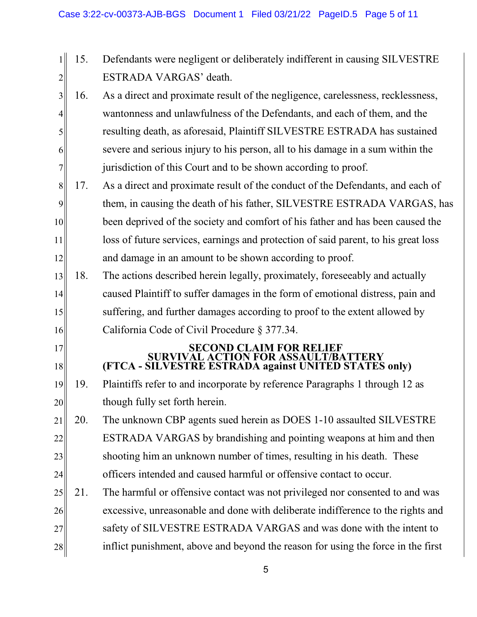- 1 2 15. Defendants were negligent or deliberately indifferent in causing SILVESTRE ESTRADA VARGAS' death.
- 3 4 5 6 7 16. As a direct and proximate result of the negligence, carelessness, recklessness, wantonness and unlawfulness of the Defendants, and each of them, and the resulting death, as aforesaid, Plaintiff SILVESTRE ESTRADA has sustained severe and serious injury to his person, all to his damage in a sum within the jurisdiction of this Court and to be shown according to proof.
- 8 9 10 11 12 17. As a direct and proximate result of the conduct of the Defendants, and each of them, in causing the death of his father, SILVESTRE ESTRADA VARGAS, has been deprived of the society and comfort of his father and has been caused the loss of future services, earnings and protection of said parent, to his great loss and damage in an amount to be shown according to proof.
- 13 14 15 16 18. The actions described herein legally, proximately, foreseeably and actually caused Plaintiff to suffer damages in the form of emotional distress, pain and suffering, and further damages according to proof to the extent allowed by California Code of Civil Procedure § 377.34.

## **SECOND CLAIM FOR RELIEF SURVIVAL ACTION FOR ASSAULT/BATTERY (FTCA - SILVESTRE ESTRADA against UNITED STATES only)**

19 20 19. Plaintiffs refer to and incorporate by reference Paragraphs 1 through 12 as though fully set forth herein.

17

18

- 21 22 23 24 20. The unknown CBP agents sued herein as DOES 1-10 assaulted SILVESTRE ESTRADA VARGAS by brandishing and pointing weapons at him and then shooting him an unknown number of times, resulting in his death. These officers intended and caused harmful or offensive contact to occur.
- 25 26 27 28 21. The harmful or offensive contact was not privileged nor consented to and was excessive, unreasonable and done with deliberate indifference to the rights and safety of SILVESTRE ESTRADA VARGAS and was done with the intent to inflict punishment, above and beyond the reason for using the force in the first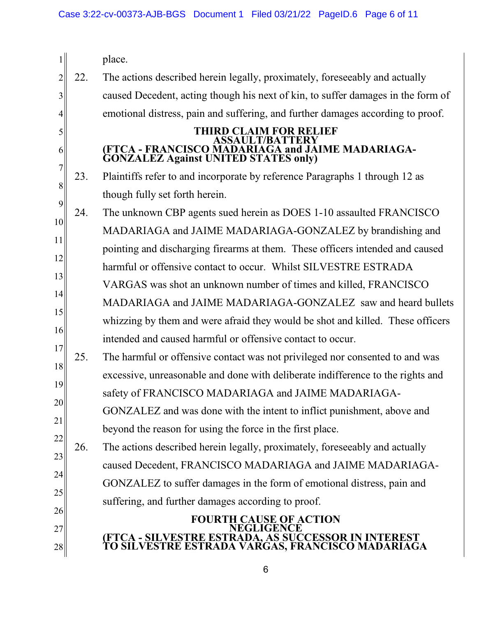| $\mathbf{1}$   |                                                                                      | place.                                                                                                           |  |  |
|----------------|--------------------------------------------------------------------------------------|------------------------------------------------------------------------------------------------------------------|--|--|
| $\overline{2}$ | 22.                                                                                  | The actions described herein legally, proximately, foreseeably and actually                                      |  |  |
| 3              |                                                                                      | caused Decedent, acting though his next of kin, to suffer damages in the form of                                 |  |  |
| 4              |                                                                                      | emotional distress, pain and suffering, and further damages according to proof.                                  |  |  |
| 5              |                                                                                      | <b>THIRD CLAIM FOR RELIEF</b><br><b>ASSAULT/BATTERY</b>                                                          |  |  |
| 6              |                                                                                      | (FTCA - FRANCISCO MADARIAGA and JAIME MADARIAGA-<br><b>GONZALEZ Against UNITED STATES only)</b>                  |  |  |
| 7              | 23.                                                                                  | Plaintiffs refer to and incorporate by reference Paragraphs 1 through 12 as                                      |  |  |
| 8<br>9         |                                                                                      | though fully set forth herein.                                                                                   |  |  |
| 10             | 24.                                                                                  | The unknown CBP agents sued herein as DOES 1-10 assaulted FRANCISCO                                              |  |  |
|                |                                                                                      | MADARIAGA and JAIME MADARIAGA-GONZALEZ by brandishing and                                                        |  |  |
| 11<br>12       |                                                                                      | pointing and discharging firearms at them. These officers intended and caused                                    |  |  |
|                |                                                                                      | harmful or offensive contact to occur. Whilst SILVESTRE ESTRADA                                                  |  |  |
| 13             |                                                                                      | VARGAS was shot an unknown number of times and killed, FRANCISCO                                                 |  |  |
| 14             |                                                                                      | MADARIAGA and JAIME MADARIAGA-GONZALEZ saw and heard bullets                                                     |  |  |
| 16             | 15<br>whizzing by them and were afraid they would be shot and killed. These officers |                                                                                                                  |  |  |
| 17             |                                                                                      | intended and caused harmful or offensive contact to occur.                                                       |  |  |
| 18             | 25.                                                                                  | The harmful or offensive contact was not privileged nor consented to and was                                     |  |  |
|                |                                                                                      | excessive, unreasonable and done with deliberate indifference to the rights and                                  |  |  |
| 19<br>20       |                                                                                      | safety of FRANCISCO MADARIAGA and JAIME MADARIAGA-                                                               |  |  |
| 21             |                                                                                      | GONZALEZ and was done with the intent to inflict punishment, above and                                           |  |  |
|                |                                                                                      | beyond the reason for using the force in the first place.                                                        |  |  |
| 22             | 26.                                                                                  | The actions described herein legally, proximately, foreseeably and actually                                      |  |  |
| 23             |                                                                                      | caused Decedent, FRANCISCO MADARIAGA and JAIME MADARIAGA-                                                        |  |  |
| 24             |                                                                                      | GONZALEZ to suffer damages in the form of emotional distress, pain and                                           |  |  |
| 25             |                                                                                      | suffering, and further damages according to proof.                                                               |  |  |
| 26             |                                                                                      | <b>FOURTH CAUSE OF ACTION</b><br><b>EGLIGENCE</b>                                                                |  |  |
| 27             |                                                                                      | (FTCA - SILVESTRE ESTRADA, AS SUCCESSOR IN INTEREST<br>TO SILVESTRE ESTRADA VARGAS, FRANCISCO MADARIAGA<br>TO SI |  |  |
| 28             |                                                                                      |                                                                                                                  |  |  |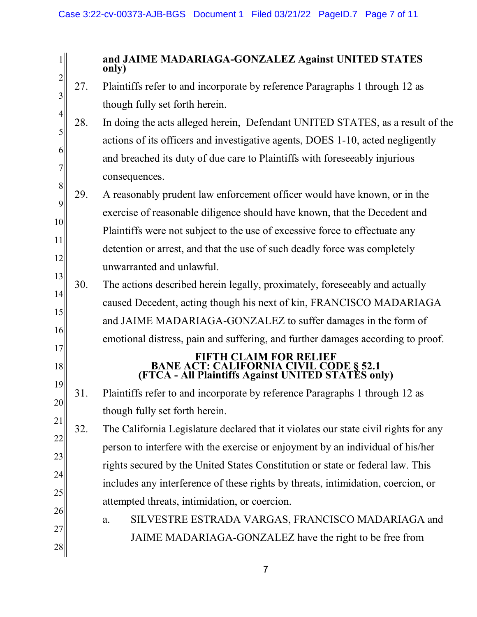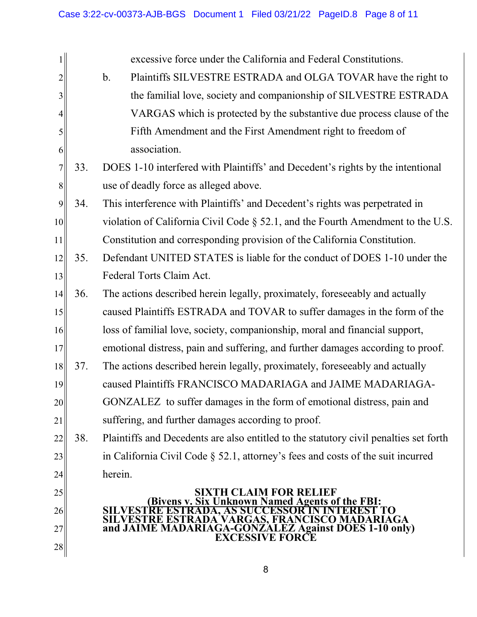1 2 3 4 5 6 7 8 9 10 11 12 13 14 15 16 17 18 19 20 21 22 23 24 25 26 27 28 excessive force under the California and Federal Constitutions. b. Plaintiffs SILVESTRE ESTRADA and OLGA TOVAR have the right to the familial love, society and companionship of SILVESTRE ESTRADA VARGAS which is protected by the substantive due process clause of the Fifth Amendment and the First Amendment right to freedom of association. 33. DOES 1-10 interfered with Plaintiffs' and Decedent's rights by the intentional use of deadly force as alleged above. 34. This interference with Plaintiffs' and Decedent's rights was perpetrated in violation of California Civil Code § 52.1, and the Fourth Amendment to the U.S. Constitution and corresponding provision of the California Constitution. 35. Defendant UNITED STATES is liable for the conduct of DOES 1-10 under the Federal Torts Claim Act. 36. The actions described herein legally, proximately, foreseeably and actually caused Plaintiffs ESTRADA and TOVAR to suffer damages in the form of the loss of familial love, society, companionship, moral and financial support, emotional distress, pain and suffering, and further damages according to proof. 37. The actions described herein legally, proximately, foreseeably and actually caused Plaintiffs FRANCISCO MADARIAGA and JAIME MADARIAGA-GONZALEZ to suffer damages in the form of emotional distress, pain and suffering, and further damages according to proof. 38. Plaintiffs and Decedents are also entitled to the statutory civil penalties set forth in California Civil Code § 52.1, attorney's fees and costs of the suit incurred herein. **SIXTH CLAIM FOR RELIEF Six Unknown Named Agents of the FBI: SILVESTRE ESTRADA, AS SUCCESSOR IN INTEREST TO SILVESTRE ESTRADA VARGAS, FRANCISCO MADARIAGA and JAIME MADARIAGA-GONZALEZ Against DOES 1-10 only) EXCESSIVE FORCE**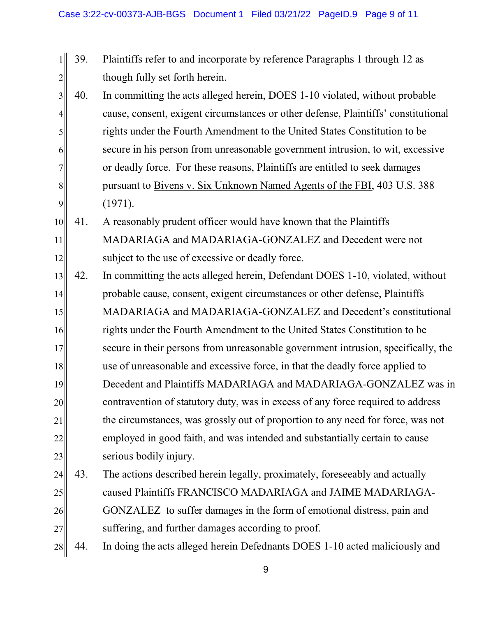- 1 2 39. Plaintiffs refer to and incorporate by reference Paragraphs 1 through 12 as though fully set forth herein.
- 3 4 5 6 7 8 9 40. In committing the acts alleged herein, DOES 1-10 violated, without probable cause, consent, exigent circumstances or other defense, Plaintiffs' constitutional rights under the Fourth Amendment to the United States Constitution to be secure in his person from unreasonable government intrusion, to wit, excessive or deadly force. For these reasons, Plaintiffs are entitled to seek damages pursuant to Bivens v. Six Unknown Named Agents of the FBI, 403 U.S. 388 (1971).
- 10 11 12 41. A reasonably prudent officer would have known that the Plaintiffs MADARIAGA and MADARIAGA-GONZALEZ and Decedent were not subject to the use of excessive or deadly force.
- 13 14 15 16 17 18 19 20 21 22 23 42. In committing the acts alleged herein, Defendant DOES 1-10, violated, without probable cause, consent, exigent circumstances or other defense, Plaintiffs MADARIAGA and MADARIAGA-GONZALEZ and Decedent's constitutional rights under the Fourth Amendment to the United States Constitution to be secure in their persons from unreasonable government intrusion, specifically, the use of unreasonable and excessive force, in that the deadly force applied to Decedent and Plaintiffs MADARIAGA and MADARIAGA-GONZALEZ was in contravention of statutory duty, was in excess of any force required to address the circumstances, was grossly out of proportion to any need for force, was not employed in good faith, and was intended and substantially certain to cause serious bodily injury.
- 24 25 26 27 43. The actions described herein legally, proximately, foreseeably and actually caused Plaintiffs FRANCISCO MADARIAGA and JAIME MADARIAGA-GONZALEZ to suffer damages in the form of emotional distress, pain and suffering, and further damages according to proof.
- 28 44. In doing the acts alleged herein Defednants DOES 1-10 acted maliciously and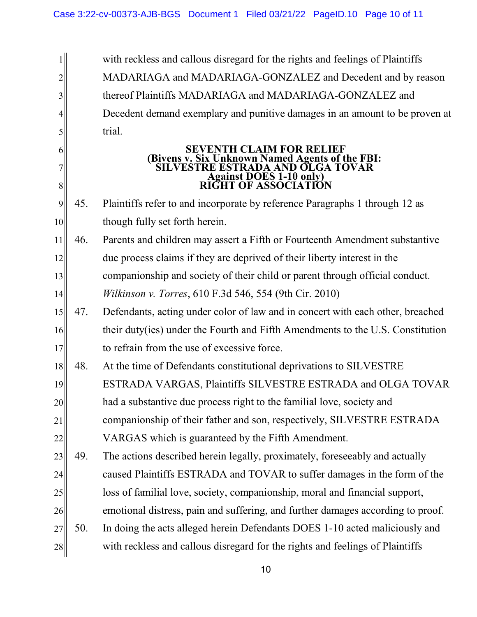1 2 3 4 5 6 7 8 9 10 11 12 13 14 15 16 17 18 19 20 21 22 23 24 25 26 27 28 with reckless and callous disregard for the rights and feelings of Plaintiffs MADARIAGA and MADARIAGA-GONZALEZ and Decedent and by reason thereof Plaintiffs MADARIAGA and MADARIAGA-GONZALEZ and Decedent demand exemplary and punitive damages in an amount to be proven at trial. **SEVENTH CLAIM FOR RELIEF (Bivens v. Six Unknown Named Agents of the FBI: SILVESTRE ESTRADA AND OLGA TOVAR Against DOES 1-10 only) RIGHT OF ASSOCIATION** 45. Plaintiffs refer to and incorporate by reference Paragraphs 1 through 12 as though fully set forth herein. 46. Parents and children may assert a Fifth or Fourteenth Amendment substantive due process claims if they are deprived of their liberty interest in the companionship and society of their child or parent through official conduct. *Wilkinson v. Torres*, 610 F.3d 546, 554 (9th Cir. 2010) 47. Defendants, acting under color of law and in concert with each other, breached their duty(ies) under the Fourth and Fifth Amendments to the U.S. Constitution to refrain from the use of excessive force. 48. At the time of Defendants constitutional deprivations to SILVESTRE ESTRADA VARGAS, Plaintiffs SILVESTRE ESTRADA and OLGA TOVAR had a substantive due process right to the familial love, society and companionship of their father and son, respectively, SILVESTRE ESTRADA VARGAS which is guaranteed by the Fifth Amendment. 49. The actions described herein legally, proximately, foreseeably and actually caused Plaintiffs ESTRADA and TOVAR to suffer damages in the form of the loss of familial love, society, companionship, moral and financial support, emotional distress, pain and suffering, and further damages according to proof. 50. In doing the acts alleged herein Defendants DOES 1-10 acted maliciously and with reckless and callous disregard for the rights and feelings of Plaintiffs